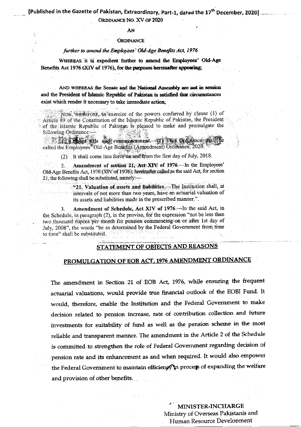ORDINANCE NO. XV OF 2020

### AN

#### **ORDINANCE**

## further to amend the Employees' Old-Age Benefits Act, 1976

WHEREAS it is expedient further to amend the Employees' Old-Age Benefits Act 1976 (XIV of 1976), for the purposes hereinafter appearing;

AND WHEREAS the Senate and the National Assembly are not in session and the President of Islamic Republic of Pakistan is satisfied that circumstances exist which render it necessary to take immediate action:

NOW, Hitchcore, in exercise of the powers conferred by clause (1) of Article 89 of the Constitution of the Islamic Republic of Pakistan, the President of the Islamic Republic of Pakistan is pleased to make and promulgate the following Ordinance:-

For some title and commencement. If This Cadifance shall called the Employees<sup>36</sup>Old-Age Benefits (Amendment) Ordinance, 2020.

(2) It shall come into force on and from the first day of July, 2018.

Amendment of section 21, Act XIV of 1976. In the Employees'  $2.$ Old-Age Benefits Act, 1976 (XIV of 1976), hereinafter called as the said Act, for section 21, the following shall be substituted, namely:-

> "21. Valuation of assets and liabilities. The Institution shall, at intervals of not more than two years, have an actuarial valuation of its assets and liabilities made in the prescribed manner.".

Amendment of Schedule, Act XIV of 1976.—In the said Act, in 3. the Schedule, in paragraph (2), in the proviso, for the expression "not be less than two thousand rupees per month for pension commencing on or after 1st day of July, 2008", the words "be as determined by the Federal Government from time to time" shall be substituted.

# **STATEMENT OF OBJECTS AND REASONS**

# PROMULGATION OF EOB ACT, 1976 AMENDMENT ORDINANCE

The amendment in Section 21 of EOB Act, 1976, while ensuring the frequent actuarial valuations, would provide true financial outlook of the EOBI Fund. It would, therefore, enable the Institution and the Federal Government to make decision related to pension increase, rate of contribution collection and future investments for suitability of fund as well as the pension scheme in the most reliable and transparent manner. The amendment in the Article 2 of the Schedule is committed to strengthen the role of Federal Government regarding decision of pension rate and its enhancement as and when required. It would also empower the Federal Government to maintain efficiency in process of expanding the welfare and provision of other benefits.

> MINISTER-INCHARGE Ministry of Overseas Pakistanis and Human Resource Development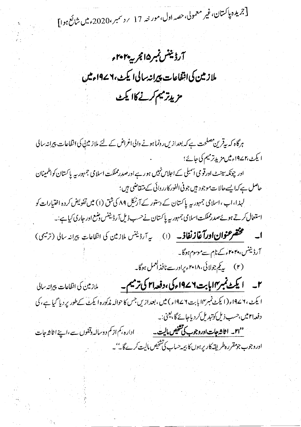[جریدہ پاکستان،غیر معمولی،حصہ اول،مور حہ 17 پرسمبر،2020ء میں شائع ہوا]

آرڈینٹس نمبر۱۵ مجربہہ۲۰۲۰ء ملازيين كى انتفاعات پيرانه سالى ايكٹ، ١٩٧٦ء ميں مزيدتر ميم كرنے كاا يكٹ

ہرگاہ کہ بیقرین مصلحت ہے کہ بعدازیں رونما ہونے والی اغراض کے لئے ملاز میں کی انقاعات پیرانہ سالی ا یکٹ،۱۴ ءمیں مزیدِتر میم کی جائے؛ اور چونکہ سینٹ اورقو می اسمبلی کے اجلاس نہیں ہو رہے اورصدرمملکت اسلامی جہور بیہ پاکستان کواطمینان حاصل ہے کہ ایسے حالات موجود ہیں جو فی الفور کارروائی کے متفاضی ہیں؛ لہذا،اب،اسلامی جمہور یہ پاکستان کے دستور کے آرٹیکل ۸۹ کی شق (۱) میں تفویض کردہ اختیارات کو استعال کرتے ہوئےصدرمملکت اسلامی جمہوریہ پاکستان نےحسب ذیل آرڈیننس دشع اور جاری کیا ہے ۔۔ **ا۔ مختصر عنوان اورآغازنغاذ۔** (۱) یہ آرڈیننس ملازمین کی انفاعات پیرانہ سالی (ترمیمی) آرڈیننس، ۲۰۲۰ءک<sub>نام سے</sub>موسوم ہوگا۔ (۲) پیکم جولائی، ۲۰۱۸ء پرادر سے نافذ العمل ہوگا۔ ۲۔ **ایکٹ نمبر۱۷اپابت ۱۹۷۶ء کی، دفعہ ۲۱ کی ترمیم۔** سلاز ٹین کی انفاعات پیرانہ سالی ا يكث، ٢ ١٩٧ء (١ يكث نمبر١٧ بابت ٤ ١٩٧ء) ميں ، بعد ازيں جس كا حوالہ مذكورہ ايكث كے طور پر ديا گيا ہے ، كى دفعہ ۲۱ میں،حسب ذیل کوتبدیل کردیاجائے گا، یعنی:۔

<mark>''ا۲۔ اثاثہ جات اوروجوب کی شخص مالیت۔</mark> مسلسل ادارہ ،کم از کم دوسالہ دقفوں سے ،اپنے اثاثہ جات اوروجوب جومقرر ہطریقہ کار پرہوں کا بیمہ حساب کی تشخیص مالیت کرے گا۔''۔